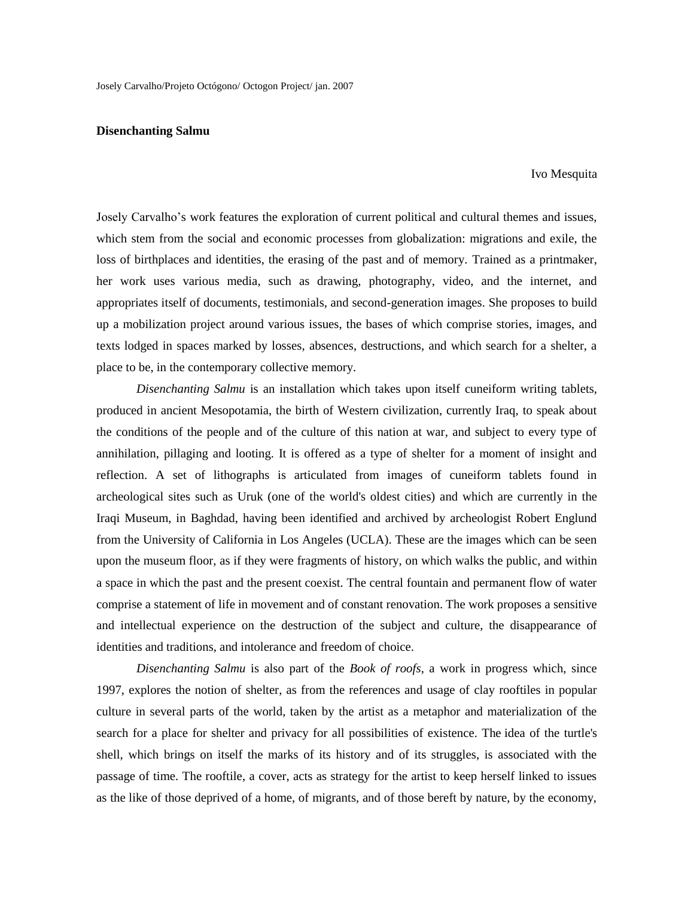## **Disenchanting Salmu**

## Ivo Mesquita

Josely Carvalho's work features the exploration of current political and cultural themes and issues, which stem from the social and economic processes from globalization: migrations and exile, the loss of birthplaces and identities, the erasing of the past and of memory. Trained as a printmaker, her work uses various media, such as drawing, photography, video, and the internet, and appropriates itself of documents, testimonials, and second-generation images. She proposes to build up a mobilization project around various issues, the bases of which comprise stories, images, and texts lodged in spaces marked by losses, absences, destructions, and which search for a shelter, a place to be, in the contemporary collective memory.

*Disenchanting Salmu* is an installation which takes upon itself cuneiform writing tablets, produced in ancient Mesopotamia, the birth of Western civilization, currently Iraq, to speak about the conditions of the people and of the culture of this nation at war, and subject to every type of annihilation, pillaging and looting. It is offered as a type of shelter for a moment of insight and reflection. A set of lithographs is articulated from images of cuneiform tablets found in archeological sites such as Uruk (one of the world's oldest cities) and which are currently in the Iraqi Museum, in Baghdad, having been identified and archived by archeologist Robert Englund from the University of California in Los Angeles (UCLA). These are the images which can be seen upon the museum floor, as if they were fragments of history, on which walks the public, and within a space in which the past and the present coexist. The central fountain and permanent flow of water comprise a statement of life in movement and of constant renovation. The work proposes a sensitive and intellectual experience on the destruction of the subject and culture, the disappearance of identities and traditions, and intolerance and freedom of choice.

*Disenchanting Salmu* is also part of the *Book of roofs*, a work in progress which, since 1997, explores the notion of shelter, as from the references and usage of clay rooftiles in popular culture in several parts of the world, taken by the artist as a metaphor and materialization of the search for a place for shelter and privacy for all possibilities of existence. The idea of the turtle's shell, which brings on itself the marks of its history and of its struggles, is associated with the passage of time. The rooftile, a cover, acts as strategy for the artist to keep herself linked to issues as the like of those deprived of a home, of migrants, and of those bereft by nature, by the economy,